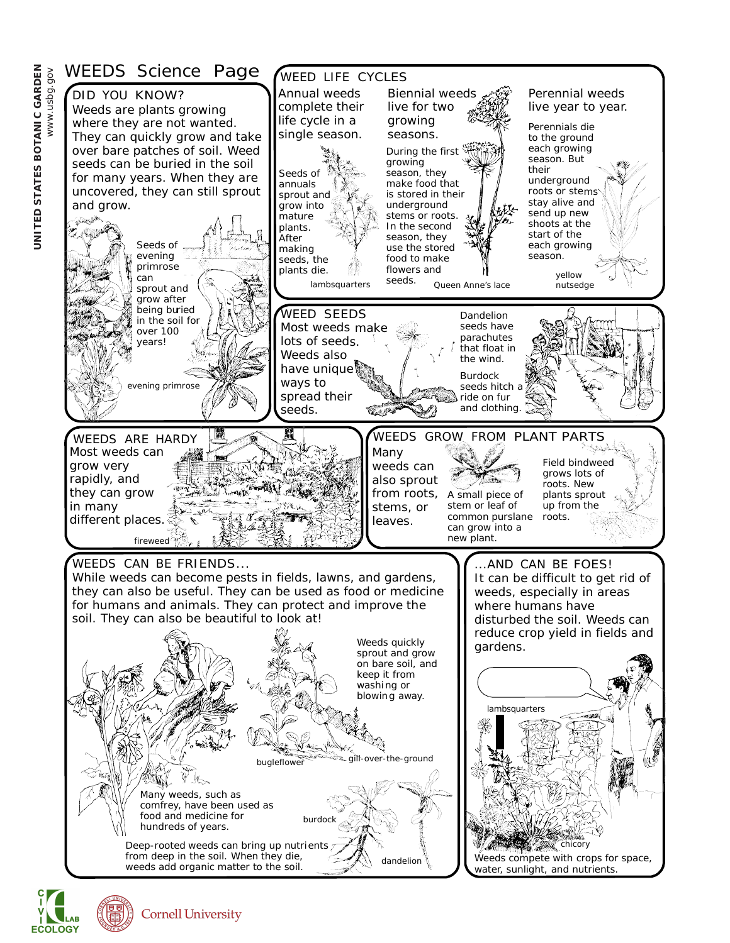

**ECOLOGY**